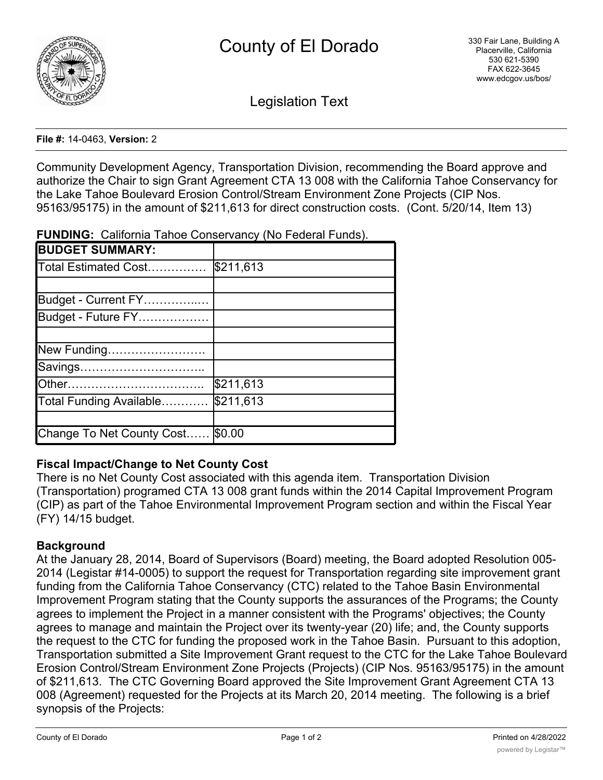

Legislation Text

#### **File #:** 14-0463, **Version:** 2

Community Development Agency, Transportation Division, recommending the Board approve and authorize the Chair to sign Grant Agreement CTA 13 008 with the California Tahoe Conservancy for the Lake Tahoe Boulevard Erosion Control/Stream Environment Zone Projects (CIP Nos. 95163/95175) in the amount of \$211,613 for direct construction costs. (Cont. 5/20/14, Item 13)

|  |  |  | <b>FUNDING:</b> California Tahoe Conservancy (No Federal Funds). |  |  |  |  |
|--|--|--|------------------------------------------------------------------|--|--|--|--|
|--|--|--|------------------------------------------------------------------|--|--|--|--|

| <b>BUDGET SUMMARY:</b>    |           |
|---------------------------|-----------|
| Total Estimated Cost      | \$211,613 |
|                           |           |
| Budget - Current FY       |           |
| Budget - Future FY        |           |
|                           |           |
| New Funding               |           |
| Savings                   |           |
|                           | \$211,613 |
| Total Funding Available   | \$211,613 |
|                           |           |
| Change To Net County Cost | \$0.00    |

# **Fiscal Impact/Change to Net County Cost**

There is no Net County Cost associated with this agenda item. Transportation Division (Transportation) programed CTA 13 008 grant funds within the 2014 Capital Improvement Program (CIP) as part of the Tahoe Environmental Improvement Program section and within the Fiscal Year (FY) 14/15 budget.

# **Background**

At the January 28, 2014, Board of Supervisors (Board) meeting, the Board adopted Resolution 005- 2014 (Legistar #14-0005) to support the request for Transportation regarding site improvement grant funding from the California Tahoe Conservancy (CTC) related to the Tahoe Basin Environmental Improvement Program stating that the County supports the assurances of the Programs; the County agrees to implement the Project in a manner consistent with the Programs' objectives; the County agrees to manage and maintain the Project over its twenty-year (20) life; and, the County supports the request to the CTC for funding the proposed work in the Tahoe Basin. Pursuant to this adoption, Transportation submitted a Site Improvement Grant request to the CTC for the Lake Tahoe Boulevard Erosion Control/Stream Environment Zone Projects (Projects) (CIP Nos. 95163/95175) in the amount of \$211,613. The CTC Governing Board approved the Site Improvement Grant Agreement CTA 13 008 (Agreement) requested for the Projects at its March 20, 2014 meeting. The following is a brief synopsis of the Projects: